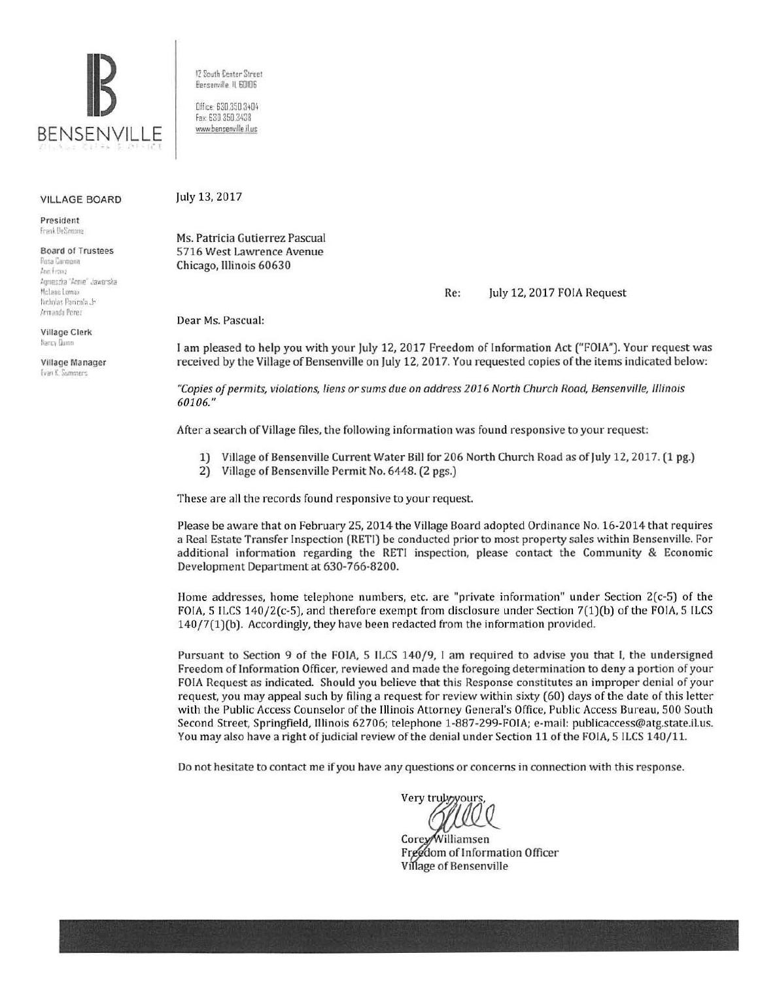

12 South Center Street Bensenville IL 60I06

Office: 630.350.3404 Fa:. 630 350 3438 www.bensenville.il.us

## VILLAGE BOARD

President Frank DeSimone

Board of Trustees Rosa Caimona  $t$ <sub>170</sub> **<sup>1</sup>'•!1f1 es:ra ,\r.n·e Ja·tto ..** ~a McLane Lomax Nicholas Panicola Jr Armando Perez

Village Clerk Nancy Duinn

Village Manager Evan K. Summers

July 13, 2017

Ms. Patricia Gutierrez Pascual 5716 West Lawrence Avenue Chicago, Illinois 60630

Re: July 12, 2017 FOIA Request

Dear Ms. Pascual:

I am pleased to help you with your July 12, 2017 Freedom of Information Act ("FOIA"). Your request was received by the Village of Bensenville on July 12, 2017. You requested copies of the items indicated below:

*"Copies of permits, violations, liens or sums due on address 2016 North Church Road, Bensenville, l/linois*  60106."

After a search of Village files, the following information was found responsive to your request:

- 1) Village of Bensenville Current Water Bill for 206 North Church Road as of July 12, 2017. (1 pg.)
- 2) Village of Bensenville Permit No. 6448. (2 pgs.)

These are all the records found responsive to your request.

Please be aware that on February 25, 2014 the Village Board adopted Ordinance No. 16-2014 that requires a Real Estate Transfer Inspection (RETI) be conducted prior to most property sales within Bensenville. For additional information regarding the RETI inspection, please contact the Community & Economic Development Department at 630-766-8200.

Home addresses, home telephone numbers, etc. are "private information" under Section 2(c-5) of the FOIA, 5 ILCS 140/2(c-5), and therefore exempt from disclosure under Section 7(1)(b) of the FOIA, 5 ILCS 140/7(1)(b). Accordingly, they have been redacted from the information provided.

Pursuant to Section 9 of the FOIA, 5 ILCS 140/9, I am required to advise you that I, the undersigned Freedom of Information Officer, reviewed and made the foregoing determination to deny a portion of your FOIA Request as indicated. Should you believe that this Response constitutes an improper denial of your request, you may appeal such by filing a request for review within sixty (60) days of the date of this letter with the Public Access Counselor of the Illinois Attorney General's Office, Public Access Bureau, 500 South Second Street, Springfield, Illinois 62706; telephone 1-887-299-FOIA; e-mail: publicaccess@atg.state.il.us. You may also have a right of judicial review of the denial under Section 11 of the FOIA, 5 ILCS 140/11.

Do not hesitate to contact me if you have any questions or concerns in connection with this response.

Very truly you

Corey/Williamsen Freedom of Information Officer Village of Bensenville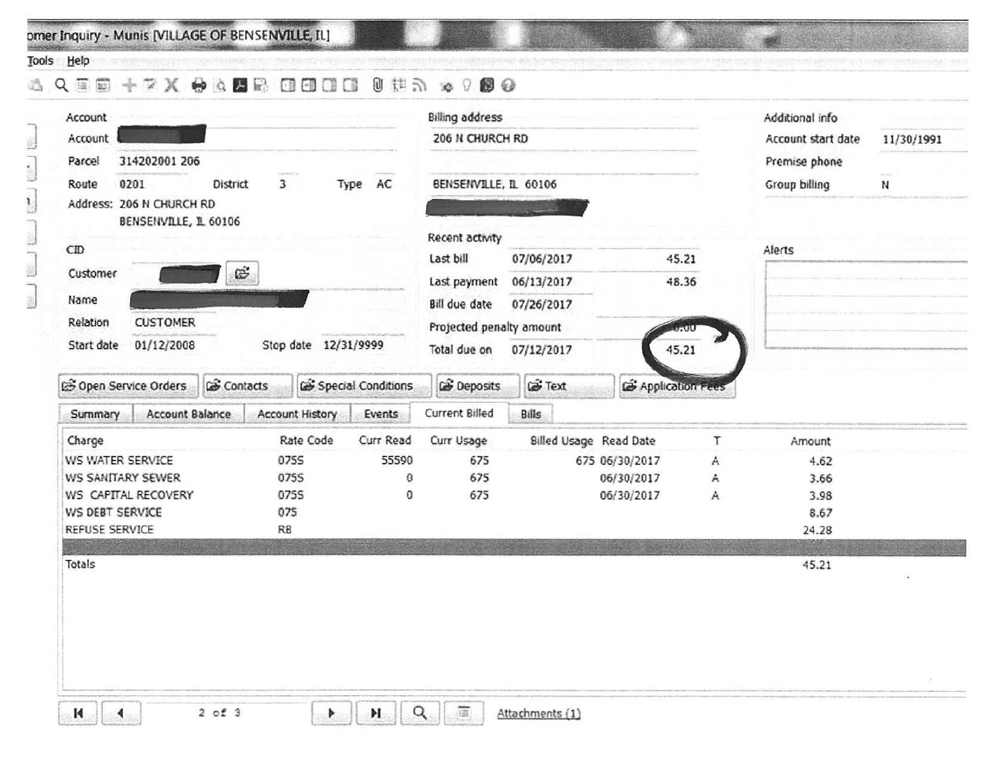omer Inquiry - Munis [VILLAGE OF BENSENVILLE, IL]

## Tools Help

## 

| Account                                                         |                          |                       |                        |                      |                      | <b>Billing address</b>   |                        |                  |   | Additional info    |            |
|-----------------------------------------------------------------|--------------------------|-----------------------|------------------------|----------------------|----------------------|--------------------------|------------------------|------------------|---|--------------------|------------|
| Account                                                         |                          |                       |                        |                      |                      | 206 N CHURCH RD          |                        |                  |   | Account start date | 11/30/1991 |
| Parcel                                                          | 314202001 206            |                       |                        |                      |                      |                          |                        |                  |   | Premise phone      |            |
| 0201<br>$\overline{\mathbf{3}}$<br>Type AC<br>Route<br>District |                          | BENSENVILLE, IL 60106 |                        |                      | Group billing<br>И   |                          |                        |                  |   |                    |            |
|                                                                 | Address: 206 N CHURCH RD |                       |                        |                      |                      |                          |                        |                  |   |                    |            |
|                                                                 | BENSENVILLE, IL 60106    |                       |                        |                      |                      | Recent activity          |                        |                  |   |                    |            |
| CD                                                              |                          |                       |                        |                      |                      | Last bill                | 07/06/2017             | 45.21            |   | Alerts             |            |
| Customer                                                        |                          | œ                     |                        |                      |                      |                          |                        |                  |   |                    |            |
| Name                                                            |                          |                       |                        |                      |                      | Last payment             | 06/13/2017             | 48.36            |   |                    |            |
| Relation                                                        | <b>CUSTOMER</b>          |                       |                        |                      |                      | <b>Bill due date</b>     | 07/26/2017             |                  |   |                    |            |
| Start date                                                      |                          |                       |                        | Stop date 12/31/9999 |                      | Projected penalty amount |                        | 7. UU            |   |                    |            |
|                                                                 | 01/12/2008               |                       |                        |                      |                      | Total due on             | 07/12/2017             | 45.21            |   |                    |            |
|                                                                 | S Open Service Orders    | <b>Contacts</b>       |                        |                      | G Special Conditions | <b>B</b> Deposits        | <b>Let</b> Text        | Application Fees |   |                    |            |
| Summary                                                         | Account Balance          |                       | <b>Account History</b> |                      | Events               | Current Billed           | Bills                  |                  |   |                    |            |
| Charge                                                          |                          |                       |                        | Rate Code            | Curr Read            | Curr Usage               | Billed Usage Read Date |                  | T | Amount             |            |
|                                                                 | WS WATER SERVICE         |                       | 0755                   |                      | 55590                | 675                      |                        | 675 06/30/2017   | A | 4.62               |            |
|                                                                 | <b>WS SANITARY SEWER</b> |                       | 0755                   |                      | 0                    | 675                      |                        | 06/30/2017       | A | 3.66               |            |
|                                                                 | WS CAPITAL RECOVERY      |                       | 0755                   |                      | 0                    | 675                      |                        | 06/30/2017       | A | 3.98               |            |
| WS DEBT SERVICE                                                 |                          |                       | 075                    |                      |                      |                          |                        |                  |   | 8.67               |            |
| REFUSE SERVICE                                                  |                          |                       | RB                     |                      |                      |                          |                        |                  |   | 24.28              |            |
| Totals                                                          |                          |                       |                        |                      |                      |                          |                        |                  |   | 45.21              |            |
|                                                                 |                          |                       |                        |                      |                      |                          |                        |                  |   |                    |            |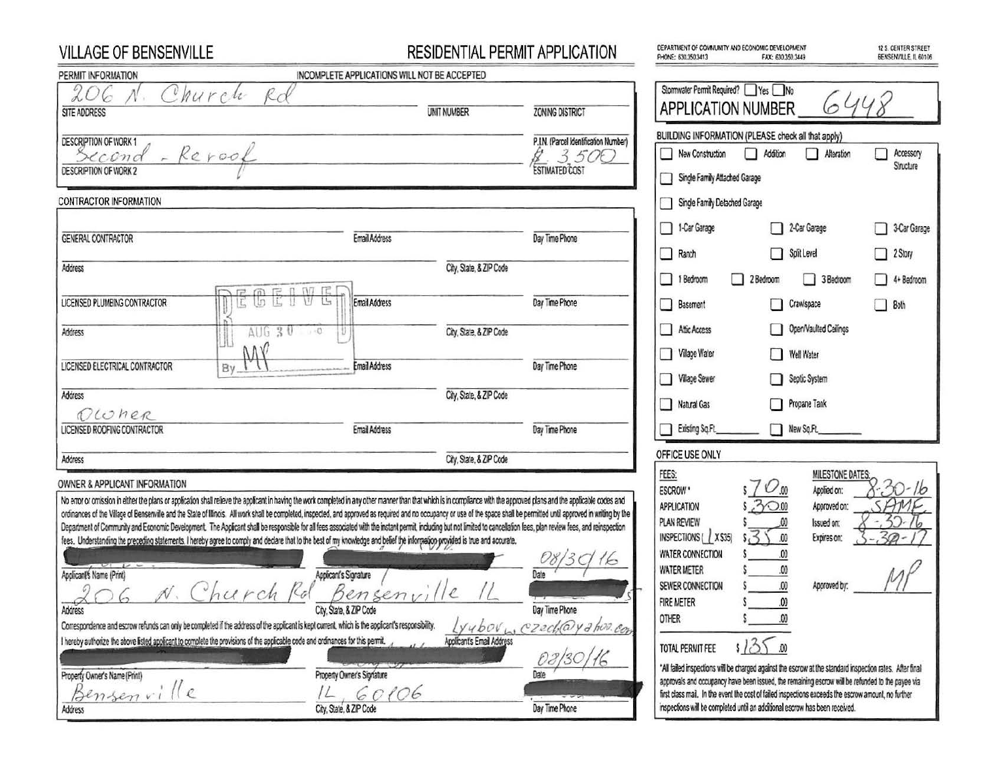| <b>VILLAGE OF BENSENVILLE</b>                                                                                                                                                                                                                                                        | RESIDENTIAL PERMIT APPLICATION               |                                       | DEPARTMENT OF COMMUNITY AND ECONOMIC DEVELOPMENT<br>PHONE: 630.350.3413<br>FAX: 630.350.3449                                                                                                                 | 12 S. CENTER STREET<br>BENSENVILLE, IL 60106 |
|--------------------------------------------------------------------------------------------------------------------------------------------------------------------------------------------------------------------------------------------------------------------------------------|----------------------------------------------|---------------------------------------|--------------------------------------------------------------------------------------------------------------------------------------------------------------------------------------------------------------|----------------------------------------------|
| PERMIT INFORMATION                                                                                                                                                                                                                                                                   | INCOMPLETE APPLICATIONS WILL NOT BE ACCEPTED |                                       |                                                                                                                                                                                                              |                                              |
| 206<br>Rd<br>Church                                                                                                                                                                                                                                                                  |                                              |                                       | Stormwater Permit Required? Yes No                                                                                                                                                                           |                                              |
| SITE ADDRESS                                                                                                                                                                                                                                                                         | UNIT NUMBER                                  | <b>ZONING DISTRICT</b>                | 6448<br><b>APPLICATION NUMBER</b>                                                                                                                                                                            |                                              |
| DESCRIPTION OF WORK 1                                                                                                                                                                                                                                                                |                                              | P.I.N. (Parcel Identification Number) | BUILDING INFORMATION (PLEASE check all that apply)                                                                                                                                                           |                                              |
| Second - Reroof                                                                                                                                                                                                                                                                      |                                              | 3.50C                                 | Addition<br>New Construction<br>Alteration<br>LΙ                                                                                                                                                             | Accessory                                    |
| DESCRIPTION OF WORK 2                                                                                                                                                                                                                                                                |                                              | <b>ESTIMATED COST</b>                 | Single Family Attached Garage                                                                                                                                                                                | Structure                                    |
| CONTRACTOR INFORMATION                                                                                                                                                                                                                                                               |                                              |                                       | Single Family Detached Garage                                                                                                                                                                                |                                              |
|                                                                                                                                                                                                                                                                                      |                                              |                                       | 1-Car Garage<br>2-Car Garage<br>- 1                                                                                                                                                                          | 3-Car Garage                                 |
| GENERAL CONTRACTOR                                                                                                                                                                                                                                                                   | Email Address                                | Day Time Phone                        | $\Box$<br>Split Level<br>Ranch<br>П                                                                                                                                                                          | <sup>2</sup> Story                           |
| Address                                                                                                                                                                                                                                                                              | City, State, & ZIP Code                      |                                       |                                                                                                                                                                                                              |                                              |
| $m \nE 0 M E$                                                                                                                                                                                                                                                                        |                                              |                                       | $\mathbf{r}$<br>3 Bedroom<br>1 Bedroom<br>H<br>2 Bedroom                                                                                                                                                     | $\Box$<br>4+ Bedroom                         |
| 長井<br>In<br>LICENSED PLUMBING CONTRACTOR                                                                                                                                                                                                                                             | IJ<br>L.<br><b>Email Address</b>             | Day Time Phone                        | Crawlspace<br>$\mathbb{C}$<br>П<br><b>Basement</b>                                                                                                                                                           | $\Box$<br>Both                               |
| $AUG$ $30$<br>Address                                                                                                                                                                                                                                                                | City, State, & ZIP Code<br>$(1 + 0)$         |                                       | Open/Vaulted Ceilings<br>Affic Access                                                                                                                                                                        |                                              |
| MN                                                                                                                                                                                                                                                                                   |                                              |                                       | <b>Village Water</b><br>□<br>П<br>Well Water                                                                                                                                                                 |                                              |
| LICENSED ELECTRICAL CONTRACTOR<br>By                                                                                                                                                                                                                                                 | <b>Email Address</b>                         | Day Time Phone                        | <b>Village Sewer</b><br>Septic System<br>П                                                                                                                                                                   |                                              |
| Address                                                                                                                                                                                                                                                                              | City, State, & ZIP Code                      |                                       |                                                                                                                                                                                                              |                                              |
| DLONER                                                                                                                                                                                                                                                                               |                                              |                                       | Propane Tank<br>П<br>Natural Gas                                                                                                                                                                             |                                              |
| LICENSED ROOFING CONTRACTOR                                                                                                                                                                                                                                                          | <b>Email Address</b>                         | Day Time Phone                        | New Sq.Ft<br>Existing Sq.Ft.                                                                                                                                                                                 |                                              |
| Address                                                                                                                                                                                                                                                                              | City, State, & ZIP Code                      |                                       | OFFICE USE ONLY                                                                                                                                                                                              |                                              |
| OWNER & APPLICANT INFORMATION                                                                                                                                                                                                                                                        |                                              |                                       | FEES:<br>MILESTONE DATES:                                                                                                                                                                                    |                                              |
| No error or orrission in either the plans or application shall relieve the applicant in having the work completed in any other manner than that which is in compliance with the approved plans and the applicable codes and                                                          |                                              |                                       | 570 <sub>00</sub><br>Applied on:<br>ESCROW <sup>*</sup>                                                                                                                                                      | $30 - 16$                                    |
| ordinances of the Vilage of Bensenville and the State of Illinois. All work shall be completed, inspected, and approved as required and no occupancy or use of the space shall be permitted until approved in writing by the                                                         |                                              |                                       | 300<br><b>APPLICATION</b><br>Approved on:                                                                                                                                                                    | SAME                                         |
| Department of Community and Economic Development. The Applicant shall be responsible for all fees associated with the instant permit, including but not limited to cancellation fees, plan review fees, and reinspection                                                             |                                              |                                       | PLAN REVIEW<br>Issued on:<br>535<br>INSPECTIONS ( X \$35)                                                                                                                                                    | $32-$<br>16<br>30                            |
| fees. Understanding the preceding statements. I hereby agree to comply and declare that to the best of my knowledge and belief the information provided is true and accurate.                                                                                                        |                                              |                                       | .00<br>Expires on:                                                                                                                                                                                           |                                              |
|                                                                                                                                                                                                                                                                                      |                                              | 16                                    | <b>WATER CONNECTION</b><br><b>WATER METER</b>                                                                                                                                                                |                                              |
| Applicant's Name (Print)<br>$\mathcal{D}$<br>$\bigcap$<br>$\mathcal{L}$                                                                                                                                                                                                              | Applicant's Signature                        |                                       | .00<br>SEWER CONNECTION<br>Approved by:                                                                                                                                                                      |                                              |
| hurch<br>100                                                                                                                                                                                                                                                                         | 1/2<br>Bensenvi                              |                                       | <b>FIRE METER</b>                                                                                                                                                                                            |                                              |
| Address                                                                                                                                                                                                                                                                              | City, State, & ZIP Code                      | Day Time Phone                        | <b>OTHER</b>                                                                                                                                                                                                 |                                              |
| Correspondence and escrow refunds can only be completed if the address of the applicant is kept current, which is the applicant's responsibility.<br>I hereby authorize the above listed applicant to complete the provisions of the applicable code and ordinances for this permit. |                                              | Lyubov <sub>W</sub> czech@yahor.com   |                                                                                                                                                                                                              |                                              |
|                                                                                                                                                                                                                                                                                      | Applicant's Email Address                    |                                       | 13<br>TOTAL PERMIT FEE                                                                                                                                                                                       |                                              |
| Property Owner's Name (Print)                                                                                                                                                                                                                                                        | Property Owner's Signature                   |                                       | *All failed inspections will be charged against the escrow at the standard inspection rates. After final<br>approvals and occupancy have been issued, the remaining escrow will be refunded to the payee via |                                              |
| Bensenville                                                                                                                                                                                                                                                                          | 60106<br>$\sqrt{2}$                          |                                       | first class mail. In the event the cost of failed inspections exceeds the escrow amount, no further                                                                                                          |                                              |
| Address                                                                                                                                                                                                                                                                              | City, State, & ZIP Code                      | Day Time Phone                        | inspections will be completed until an additional escrow has been received.                                                                                                                                  |                                              |